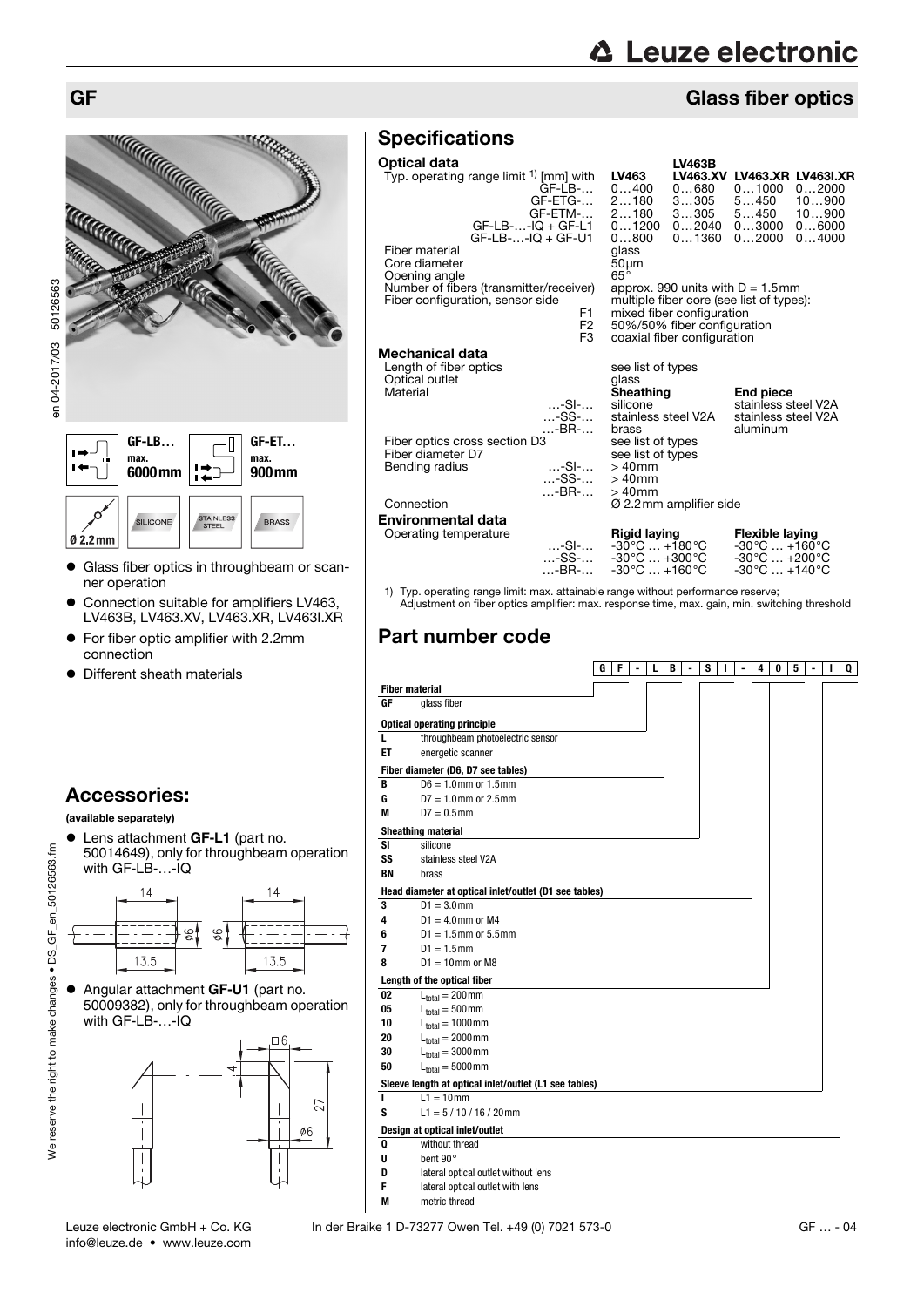# **△ Leuze electronic**

# GF Glass fiber optics



- Glass fiber optics in throughbeam or scanner operation
- Connection suitable for amplifiers LV463, LV463B, LV463.XV, LV463.XR, LV463I.XR
- For fiber optic amplifier with 2.2mm connection
- Different sheath materials

# Accessories:

#### (available separately)

13.5

- Lens attachment **GF-L1** (part no. 50014649), only for throughbeam operation with GF-LB-...-IQ  $14$  $14$  $\frac{1}{2}$ 96 . . .  $-$  -
- Angular attachment **GF-U1** (part no. 50009382), only for throughbeam operation with GF-LB-...-IQ

13.5



# **Specifications**

## Optical data

| Optical data<br>Typ. operating range limit <sup>1)</sup> [mm] with<br>$GF-LB-.$<br>GF-ETG-<br>GF-ETM-<br>$GF-LB$ --IQ + $GF-L1$<br>$GF-LB$ --IQ + $GF-U1$                                                                                                                     | <b>LV463B</b><br>LV463.XV<br>LV463<br>0400<br>0…680<br>2180<br>3305<br>3305<br>2180<br>01200<br>02040<br>0800<br>$0 \dots 1360$                                                             | <b>LV463.XR LV463I.XR</b><br>01000<br>02000<br>5…450<br>10900<br>5450<br>10900<br>03000<br>06000<br>02000<br>04000            |
|-------------------------------------------------------------------------------------------------------------------------------------------------------------------------------------------------------------------------------------------------------------------------------|---------------------------------------------------------------------------------------------------------------------------------------------------------------------------------------------|-------------------------------------------------------------------------------------------------------------------------------|
| Fiber material<br>Core diameter<br>Opening angle<br>Number of fibers (transmitter/receiver)<br>Fiber configuration, sensor side<br>F1<br>F <sub>2</sub><br>F <sub>3</sub>                                                                                                     | glass<br>$50 \mu m$<br>$65^{\circ}$<br>approx. 990 units with $D = 1.5$ mm<br>mixed fiber configuration<br>50%/50% fiber configuration<br>coaxial fiber configuration                       | multiple fiber core (see list of types):                                                                                      |
| Mechanical data<br>Length of fiber optics<br>Optical outlet<br>Material<br>$\dots$ -SI- $\dots$<br>-SS-<br>-BR-<br>Fiber optics cross section D3<br>Fiber diameter D7<br>$\dots$ -SI- $\dots$<br>Bending radius<br>$\dots$ -SS- $\dots$<br>$\dots$ -BR- $\dots$<br>Connection | see list of types<br>glass<br>Sheathing<br>silicone<br>stainless steel V2A<br>brass<br>see list of types<br>see list of types<br>$>40$ mm<br>$>40$ mm<br>$>40$ mm<br>Ø 2.2mm amplifier side | <b>End piece</b><br>stainless steel V2A<br>stainless steel V2A<br>aluminum                                                    |
| Environmental data<br>Operating temperature<br>…-SI-…<br>-SS-<br>-BR-                                                                                                                                                                                                         | Rigid laying<br>$-30^{\circ}$ C $+180^{\circ}$ C<br>$-30^{\circ}$ C $+300^{\circ}$ C<br>$-30^{\circ}$ C  +160 $^{\circ}$ C                                                                  | Flexible laying<br>$-30^{\circ}$ C  +160 $^{\circ}$ C<br>$-30^{\circ}$ C $+200^{\circ}$ C<br>$-30^{\circ}$ C $+140^{\circ}$ C |

1) Typ. operating range limit: max. attainable range without performance reserve; Adjustment on fiber optics amplifier: max. response time, max. gain, min. switching threshold

# Part number code

|           |                                                       | G | F | L | В | ۰ | s | L | ٠ | 4 | 0 | 5 | ٠ | ı | Q |
|-----------|-------------------------------------------------------|---|---|---|---|---|---|---|---|---|---|---|---|---|---|
|           | <b>Fiber material</b>                                 |   |   |   |   |   |   |   |   |   |   |   |   |   |   |
| GF        | glass fiber                                           |   |   |   |   |   |   |   |   |   |   |   |   |   |   |
|           | <b>Optical operating principle</b>                    |   |   |   |   |   |   |   |   |   |   |   |   |   |   |
| L         | throughbeam photoelectric sensor                      |   |   |   |   |   |   |   |   |   |   |   |   |   |   |
| ET        | energetic scanner                                     |   |   |   |   |   |   |   |   |   |   |   |   |   |   |
|           | Fiber diameter (D6, D7 see tables)                    |   |   |   |   |   |   |   |   |   |   |   |   |   |   |
| в         | $D6 = 1.0$ mm or $1.5$ mm                             |   |   |   |   |   |   |   |   |   |   |   |   |   |   |
| G         | $D7 = 1.0$ mm or 2.5 mm                               |   |   |   |   |   |   |   |   |   |   |   |   |   |   |
| M         | $D7 = 0.5$ mm                                         |   |   |   |   |   |   |   |   |   |   |   |   |   |   |
|           | <b>Sheathing material</b>                             |   |   |   |   |   |   |   |   |   |   |   |   |   |   |
| <b>SI</b> | silicone                                              |   |   |   |   |   |   |   |   |   |   |   |   |   |   |
| SS        | stainless steel V2A                                   |   |   |   |   |   |   |   |   |   |   |   |   |   |   |
| <b>BN</b> | brass                                                 |   |   |   |   |   |   |   |   |   |   |   |   |   |   |
|           | Head diameter at optical inlet/outlet (D1 see tables) |   |   |   |   |   |   |   |   |   |   |   |   |   |   |
| 3         | $D1 = 3.0$ mm                                         |   |   |   |   |   |   |   |   |   |   |   |   |   |   |
| 4         | $D1 = 4.0$ mm or M4                                   |   |   |   |   |   |   |   |   |   |   |   |   |   |   |
| 6         | $D1 = 1.5$ mm or 5.5 mm                               |   |   |   |   |   |   |   |   |   |   |   |   |   |   |
| 7         | $D1 = 1.5$ mm                                         |   |   |   |   |   |   |   |   |   |   |   |   |   |   |
| 8         | $D1 = 10$ mm or M8                                    |   |   |   |   |   |   |   |   |   |   |   |   |   |   |
|           | Length of the optical fiber                           |   |   |   |   |   |   |   |   |   |   |   |   |   |   |
| 02        | $L_{total} = 200$ mm                                  |   |   |   |   |   |   |   |   |   |   |   |   |   |   |
| 05        | $L_{\text{total}} = 500 \text{mm}$                    |   |   |   |   |   |   |   |   |   |   |   |   |   |   |
| 10        | $L_{total} = 1000$ mm                                 |   |   |   |   |   |   |   |   |   |   |   |   |   |   |
| 20        | $L_{total} = 2000$ mm                                 |   |   |   |   |   |   |   |   |   |   |   |   |   |   |
| 30        | $L_{total} = 3000$ mm                                 |   |   |   |   |   |   |   |   |   |   |   |   |   |   |
| 50        | $L_{total} = 5000$ mm                                 |   |   |   |   |   |   |   |   |   |   |   |   |   |   |
|           | Sleeve length at optical inlet/outlet (L1 see tables) |   |   |   |   |   |   |   |   |   |   |   |   |   |   |
| г         | $L1 = 10$ mm                                          |   |   |   |   |   |   |   |   |   |   |   |   |   |   |
| S         | $L1 = 5 / 10 / 16 / 20$ mm                            |   |   |   |   |   |   |   |   |   |   |   |   |   |   |
|           | Design at optical inlet/outlet                        |   |   |   |   |   |   |   |   |   |   |   |   |   |   |
| Q         | without thread                                        |   |   |   |   |   |   |   |   |   |   |   |   |   |   |
| U         | bent 90°                                              |   |   |   |   |   |   |   |   |   |   |   |   |   |   |
|           |                                                       |   |   |   |   |   |   |   |   |   |   |   |   |   |   |

- **D** lateral optical outlet without lens<br> **F** lateral optical outlet with lens
	- **FIRER** lateral optical outlet with lens
- **M** metric thread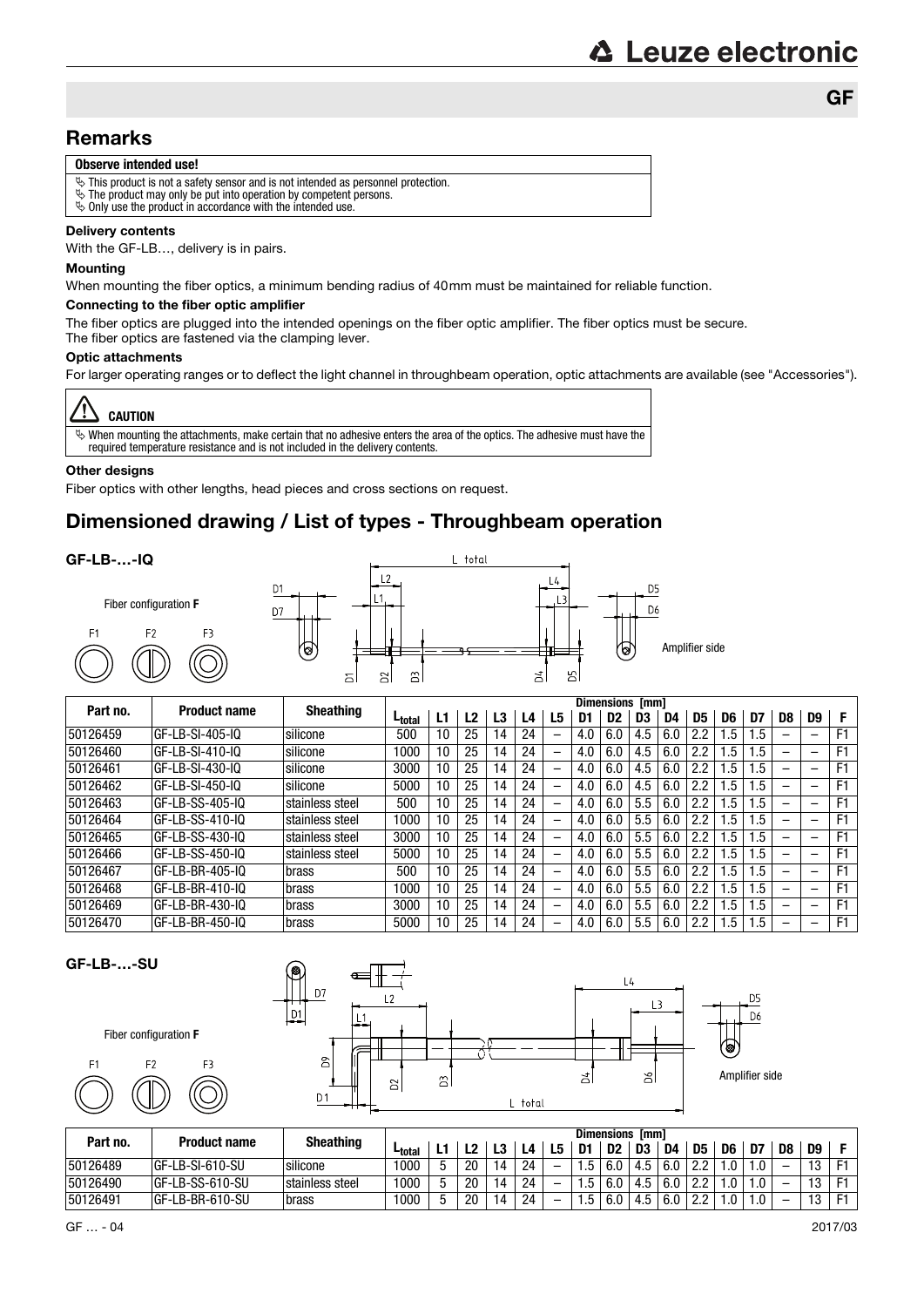### **Remarks**

#### **Observe intended use!**

- $\ddot{\phi}$  This product is not a safety sensor and is not intended as personnel protection.
- $\ddot{\mathbf{v}}$  The product may only be put into operation by competent persons.
- $\%$  Only use the product in accordance with the intended use.

#### Delivery contents

With the GF-LB…, delivery is in pairs.

#### Mounting

When mounting the fiber optics, a minimum bending radius of 40mm must be maintained for reliable function.

#### Connecting to the fiber optic amplifier

The fiber optics are plugged into the intended openings on the fiber optic amplifier. The fiber optics must be secure. The fiber optics are fastened via the clamping lever.

#### Optic attachments

For larger operating ranges or to deflect the light channel in throughbeam operation, optic attachments are available (see "Accessories").



 $\%$  When mounting the attachments, make certain that no adhesive enters the area of the optics. The adhesive must have the required temperature resistance and is not included in the delivery contents.

#### **Other designs**

Fiber optics with other lengths, head pieces and cross sections on request.

# Dimensioned drawing / List of types - Throughbeam operation

#### GF-LB-…-IQ



|          |                     |                  |                    |    |    |    |    |                          |     | <b>Dimensions [mm]</b> |     |     | D5<br>D6<br>D8<br>D7<br>2.2<br>. 5<br>. 5<br>2.2<br>. 5<br>. 5<br>2.2<br>l.5<br>.5<br>2.2<br>. 5<br>$.5\,$<br>.5<br>2.2<br>. . 5<br>2.2<br>.5<br>.5<br>2.2<br>.5<br>. 5<br>2.2<br>.5<br>. 5<br>. .5<br>2.2<br>.5 |     |    |  |                          |                |
|----------|---------------------|------------------|--------------------|----|----|----|----|--------------------------|-----|------------------------|-----|-----|------------------------------------------------------------------------------------------------------------------------------------------------------------------------------------------------------------------|-----|----|--|--------------------------|----------------|
| Part no. | <b>Product name</b> | <b>Sheathing</b> | L <sub>total</sub> | L1 | L2 | L3 | L4 | L5                       | D1  | D2                     | D3  | D4  |                                                                                                                                                                                                                  |     |    |  | D9                       |                |
| 50126459 | GF-LB-SI-405-IQ     | silicone         | 500                | 10 | 25 | 14 | 24 | $\overline{\phantom{0}}$ | 4.0 | 6.0                    | 4.5 | 6.0 |                                                                                                                                                                                                                  |     |    |  | $\overline{\phantom{0}}$ | F <sub>1</sub> |
| 50126460 | GF-LB-SI-410-IQ     | silicone         | 1000               | 10 | 25 | 14 | 24 | —                        | 4.0 | 6.0                    | 4.5 | 6.0 |                                                                                                                                                                                                                  |     |    |  | -                        | F1             |
| 50126461 | GF-LB-SI-430-IQ     | silicone         | 3000               | 10 | 25 | 14 | 24 | —                        | 4.0 | 6.0                    | 4.5 | 6.0 |                                                                                                                                                                                                                  |     |    |  | -                        | F <sub>1</sub> |
| 50126462 | GF-LB-SI-450-IQ     | silicone         | 5000               | 10 | 25 | 14 | 24 | —                        | 4.0 | 6.0                    | 4.5 | 6.0 |                                                                                                                                                                                                                  |     |    |  | -                        | F <sub>1</sub> |
| 50126463 | GF-LB-SS-405-IQ     | stainless steel  | 500                | 10 | 25 | 14 | 24 | —                        | 4.0 | 6.0                    | 5.5 | 6.0 |                                                                                                                                                                                                                  |     |    |  | -                        | F1             |
| 50126464 | GF-LB-SS-410-IQ     | stainless steel  | 1000               | 10 | 25 | 14 | 24 | —                        | 4.0 | 6.0                    | 5.5 | 6.0 |                                                                                                                                                                                                                  |     |    |  | -                        | F <sub>1</sub> |
| 50126465 | GF-LB-SS-430-IQ     | stainless steel  | 3000               | 10 | 25 | 14 | 24 | $\overline{\phantom{0}}$ | 4.0 | 6.0                    | 5.5 | 6.0 |                                                                                                                                                                                                                  |     |    |  | -                        | F <sub>1</sub> |
| 50126466 | GF-LB-SS-450-IQ     | stainless steel  | 5000               | 10 | 25 | 14 | 24 | —                        | 4.0 | 6.0                    | 5.5 | 6.0 |                                                                                                                                                                                                                  |     |    |  | -                        | F1             |
| 50126467 | GF-LB-BR-405-IQ     | brass            | 500                | 10 | 25 | 14 | 24 | $\overline{\phantom{0}}$ | 4.0 | 6.0                    | 5.5 | 6.0 |                                                                                                                                                                                                                  |     |    |  | -                        | F <sub>1</sub> |
| 50126468 | GF-LB-BR-410-IQ     | brass            | 1000               | 10 | 25 | 14 | 24 | -                        | 4.0 | 6.0                    | 5.5 | 6.0 | 2.2                                                                                                                                                                                                              | . 5 | .5 |  | $\overline{\phantom{0}}$ | F1             |
| 50126469 | GF-LB-BR-430-IQ     | brass            | 3000               | 10 | 25 | 14 | 24 | -                        | 4.0 | 6.0                    | 5.5 | 6.0 | 2.2                                                                                                                                                                                                              | .5  | .5 |  | -                        | F1             |
| 50126470 | GF-LB-BR-450-IQ     | brass            | 5000               | 10 | 25 | 14 | 24 | -                        | 4.0 | 6.0                    | 5.5 | 6.0 | 2.2                                                                                                                                                                                                              | .5  | .5 |  | -                        | F1             |



 $F<sub>2</sub>$ 



|          |                     |                  |                    |   |    |    |    |   |      | <b>Dimensions</b> | [mm] |     |     |    |    |    |              |  |
|----------|---------------------|------------------|--------------------|---|----|----|----|---|------|-------------------|------|-----|-----|----|----|----|--------------|--|
| Part no. | <b>Product name</b> | <b>Sheathing</b> | L <sub>total</sub> |   |    | L3 | L4 |   | D1   | D <sub>2</sub>    | D3   | D4  | D5  | D6 | D7 | D8 | D9           |  |
| 50126489 | GF-LB-SI-610-SU     | silicone         | 1000               | ь | 20 | 14 | 24 | - | h    |                   | 4.5  | 6.0 | 2.2 |    |    | -  | 12           |  |
| 50126490 | GF-LB-SS-610-SU     | stainless steel  | 1000               | ь | 20 | 14 | 24 | - | h    |                   | 4.5  | 6.0 | 2.2 |    |    | -  | י פי         |  |
| 50126491 | GF-LB-BR-610-SU     | brass            | 1000               | ь | 20 | 14 | 24 | - | ۵. ا | 6.0               | 4.5  | 6.0 | 2.2 |    | .U | -  | <sup>o</sup> |  |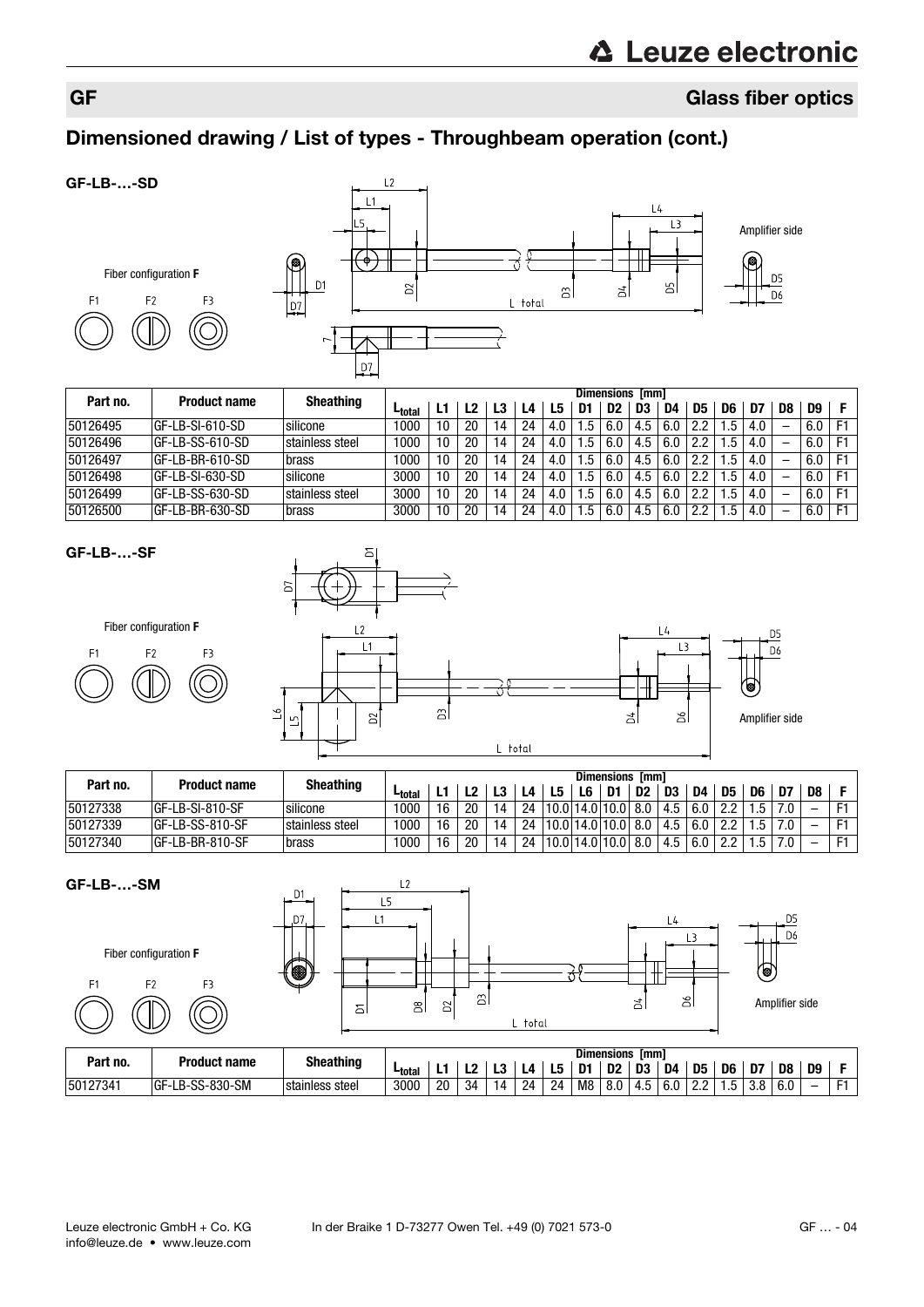# GF Glass fiber optics

# Dimensioned drawing / List of types - Throughbeam operation (cont.)

#### GF-LB-…-SD





|          |                     |                  |                    |    |    |    |    |     |    | <b>Dimensions</b> | <b>Imml</b> |     |     |     |     |    |     |    |
|----------|---------------------|------------------|--------------------|----|----|----|----|-----|----|-------------------|-------------|-----|-----|-----|-----|----|-----|----|
| Part no. | <b>Product name</b> | <b>Sheathing</b> | L <sub>total</sub> |    | L2 |    | ـ4 | L5  | D1 | D2                | D3          | D4  | D5  | D6  | D7  | D8 | D9  |    |
| 50126495 | GF-LB-SI-610-SD     | silicone         | 1000               | 10 | 20 | 14 | 24 | 4.0 | .5 | 6.0               | 4.5         | 6.0 |     | .5  | 4.0 |    | 6.0 |    |
| 50126496 | GF-LB-SS-610-SD     | stainless steel  | 1000               | 10 | 20 | 14 | 24 | 4.0 | .ხ | 6.0               | 4.5         | 6.0 |     | .ხ  | 4.0 |    | 6.0 | F1 |
| 50126497 | GF-LB-BR-610-SD     | brass            | 1000               | 10 | 20 | 14 | 24 | 4.0 | .5 | 6.0               | 4.5         | 6.0 | 2.2 | .5  | 4.0 |    | 6.0 | E1 |
| 50126498 | IGF-LB-SI-630-SD    | silicone         | 3000               | 10 | 20 | 14 | 24 | 4.0 | .5 | 6.0               | 4.5         | 6.0 | 2.2 | ۱.5 | 4.0 |    | 6.0 |    |
| 50126499 | GF-LB-SS-630-SD     | stainless steel  | 3000               | 10 | 20 | 14 | 24 | 4.0 | .5 | 6.0               | 4.5         | 6.0 | 2.2 | . 5 | 4.0 |    | 6.0 | F1 |
| 50126500 | GF-LB-BR-630-SD     | brass            | 3000               | 10 | 20 | 14 | 24 | 4.0 | .5 | 6.0               | 4.5         | 6.0 | 2.2 | .ხ  | 4.0 | -  | 6.0 | F1 |

#### GF-LB-…-SF



Fiber configuration **F**

| F1 | F2 | - 1 |
|----|----|-----|
|    |    |     |

|          |                     |                  |                    |    |    |    |    |         |    | Dimensions [mm]               |                |     |     |                |      |     |     |  |
|----------|---------------------|------------------|--------------------|----|----|----|----|---------|----|-------------------------------|----------------|-----|-----|----------------|------|-----|-----|--|
| Part no. | <b>Product name</b> | <b>Sheathing</b> | L <sub>total</sub> |    |    | L3 | L4 | L5      | L6 | D1                            | D <sub>2</sub> | D3  | D4  | D <sub>5</sub> | D6   | D7  | D8. |  |
| 50127338 | GF-LB-SI-810-SF     | silicone         | 1000               | 16 | 20 | 14 |    |         |    | 24   10.0   14.0   10.0   8.0 |                | 4.5 | 6.0 | クク             | .5   | 7.0 |     |  |
| 50127339 | GF-LB-SS-810-SF     | stainless steel  | 1000               | 16 | 20 | 14 |    |         |    | 24   10.0   14.0   10.0   8.0 |                | 4.5 | 6.0 | 2.2            | .5   | 7.0 |     |  |
| 50127340 | GF-LB-BR-810-SF     | brass            | 1000               | 16 | 20 | 14 |    | 24 10.0 |    | 14.0 10.0 8.0                 |                | 4.5 | 6.0 | 2.2            | . .5 | 7.0 |     |  |

| GF-LB--SM                        |                     | D <sub>1</sub><br>D7 | L2                |                |       |                        | L4                        | D5                                                                        |
|----------------------------------|---------------------|----------------------|-------------------|----------------|-------|------------------------|---------------------------|---------------------------------------------------------------------------|
| Fiber configuration F            |                     | 8                    |                   |                |       |                        | -3                        | D6<br>′֍)                                                                 |
| F <sub>1</sub><br>F <sub>2</sub> | F3                  |                      | $\mathbf{g}$<br>6 | G<br>$\approx$ | total | ă                      | ð                         | Amplifier side                                                            |
| Part no.                         | <b>Product name</b> | <b>Sheathing</b>     |                   |                |       | <b>Dimensions [mm]</b> | . <b>.</b><br><b>DE</b> 1 | $B = \begin{bmatrix} 1 & 1 & 1 \\ 1 & 1 & 1 \end{bmatrix}$<br><b>Boll</b> |

|          |                               |                  |               |     |    |    |    |     |    | <b>Dimensions</b> | <b>Imm</b>     |     |     |    |     |     |    |  |
|----------|-------------------------------|------------------|---------------|-----|----|----|----|-----|----|-------------------|----------------|-----|-----|----|-----|-----|----|--|
| Part no. | Product name                  | <b>Sheathing</b> | <b>Ltotal</b> | . . |    | LJ | L4 | LU. | n- | D <sub>2</sub>    | D <sub>3</sub> | D4  | D5  | D6 | D7  | D8  | D9 |  |
| 50127341 | LB-SS-830-SM<br>$\sim$<br>⊣u⊨ | stainless steel  | 3000          | 20  | 34 | 14 | 24 | 24  | M8 | 8.0               | ن.4            | 6.0 | n n | ٠. | u.u | b.U | -  |  |